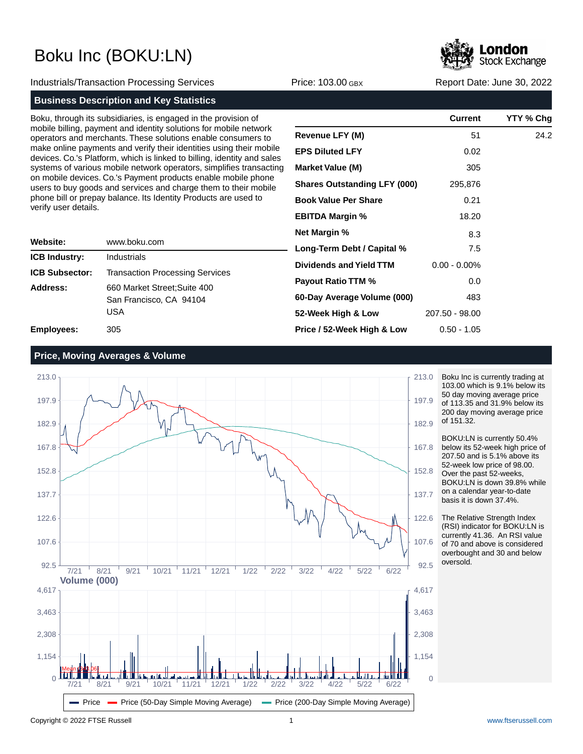

Industrials/Transaction Processing Services **Price: 103.00 GBX** Report Date: June 30, 2022

### **Business Description and Key Statistics**

Boku, through its subsidiaries, is engaged in the provision of mobile billing, payment and identity solutions for mobile network operators and merchants. These solutions enable consumers to make online payments and verify their identities using their mobile devices. Co.'s Platform, which is linked to billing, identity and sales systems of various mobile network operators, simplifies transacting on mobile devices. Co.'s Payment products enable mobile phone users to buy goods and services and charge them to their mobile phone bill or prepay balance. Its Identity Products are used to verify user details.

| Website:              | www.boku.com                                                   |  |
|-----------------------|----------------------------------------------------------------|--|
| <b>ICB Industry:</b>  | Industrials                                                    |  |
| <b>ICB Subsector:</b> | <b>Transaction Processing Services</b>                         |  |
| Address:              | 660 Market Street; Suite 400<br>San Francisco, CA 94104<br>USA |  |
| Employees:            | 305                                                            |  |

|                                     | Current         | YTY % Chg |
|-------------------------------------|-----------------|-----------|
| <b>Revenue LFY (M)</b>              | 51              | 24.2      |
| <b>EPS Diluted LFY</b>              | 0.02            |           |
| <b>Market Value (M)</b>             | 305             |           |
| <b>Shares Outstanding LFY (000)</b> | 295,876         |           |
| <b>Book Value Per Share</b>         | 0.21            |           |
| <b>EBITDA Margin %</b>              | 18.20           |           |
| <b>Net Margin %</b>                 | 8.3             |           |
| Long-Term Debt / Capital %          | 7.5             |           |
| Dividends and Yield TTM             | $0.00 - 0.00\%$ |           |
| <b>Payout Ratio TTM %</b>           | 0.0             |           |
| 60-Day Average Volume (000)         | 483             |           |
| 52-Week High & Low                  | 207.50 - 98.00  |           |
| Price / 52-Week High & Low          | $0.50 - 1.05$   |           |

### **Price, Moving Averages & Volume**



Boku Inc is currently trading at 103.00 which is 9.1% below its 50 day moving average price of 113.35 and 31.9% below its 200 day moving average price of 151.32.

BOKU:LN is currently 50.4% below its 52-week high price of 207.50 and is 5.1% above its 52-week low price of 98.00. Over the past 52-weeks, BOKU:LN is down 39.8% while on a calendar year-to-date basis it is down 37.4%.

The Relative Strength Index (RSI) indicator for BOKU:LN is currently 41.36. An RSI value of 70 and above is considered overbought and 30 and below oversold.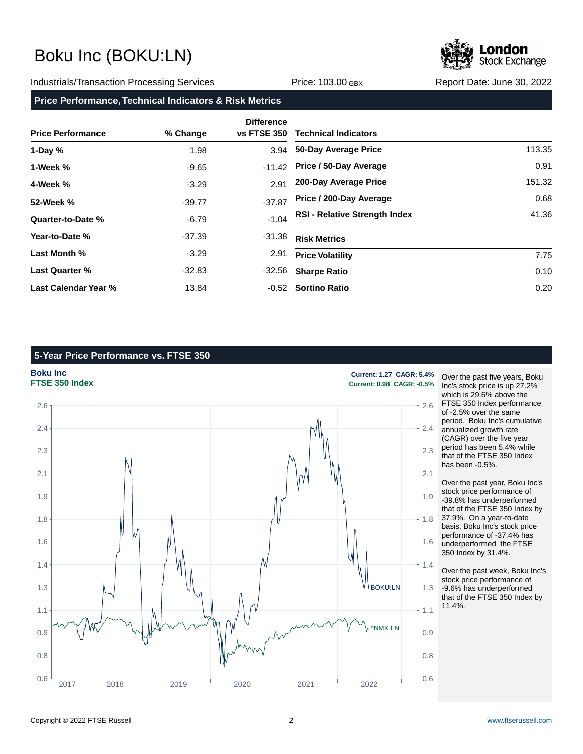# Stock Exchange

#### Industrials/Transaction Processing Services **Price: 103.00 GBX** Report Date: June 30, 2022

**Price Performance, Technical Indicators & Risk Metrics**

| <b>Price Performance</b> | % Change | <b>Difference</b><br><b>vs FTSE 350</b> | <b>Technical Indicators</b>          |        |
|--------------------------|----------|-----------------------------------------|--------------------------------------|--------|
| 1-Day $%$                | 1.98     |                                         | 3.94 50-Day Average Price            | 113.35 |
| 1-Week %                 | $-9.65$  | $-11.42$                                | Price / 50-Day Average               | 0.91   |
| 4-Week %                 | $-3.29$  | 2.91                                    | 200-Day Average Price                | 151.32 |
| 52-Week %                | $-39.77$ | $-37.87$                                | Price / 200-Day Average              | 0.68   |
| Quarter-to-Date %        | $-6.79$  | $-1.04$                                 | <b>RSI - Relative Strength Index</b> | 41.36  |
| Year-to-Date %           | $-37.39$ | $-31.38$                                | <b>Risk Metrics</b>                  |        |
| Last Month %             | $-3.29$  | 2.91                                    | <b>Price Volatility</b>              | 7.75   |
| <b>Last Quarter %</b>    | $-32.83$ | -32.56                                  | <b>Sharpe Ratio</b>                  | 0.10   |
| Last Calendar Year %     | 13.84    |                                         | -0.52 Sortino Ratio                  | 0.20   |

### **5-Year Price Performance vs. FTSE 350**



Over the past five years, Boku Inc's stock price is up 27.2% which is 29.6% above the FTSE 350 Index performance of -2.5% over the same period. Boku Inc's cumulative annualized growth rate (CAGR) over the five year period has been 5.4% while that of the FTSE 350 Index has been -0.5%.

Over the past year, Boku Inc's stock price performance of -39.8% has underperformed that of the FTSE 350 Index by 37.9%. On a year-to-date basis, Boku Inc's stock price performance of -37.4% has underperformed the FTSE 350 Index by 31.4%.

Over the past week, Boku Inc's stock price performance of -9.6% has underperformed that of the FTSE 350 Index by 11.4%.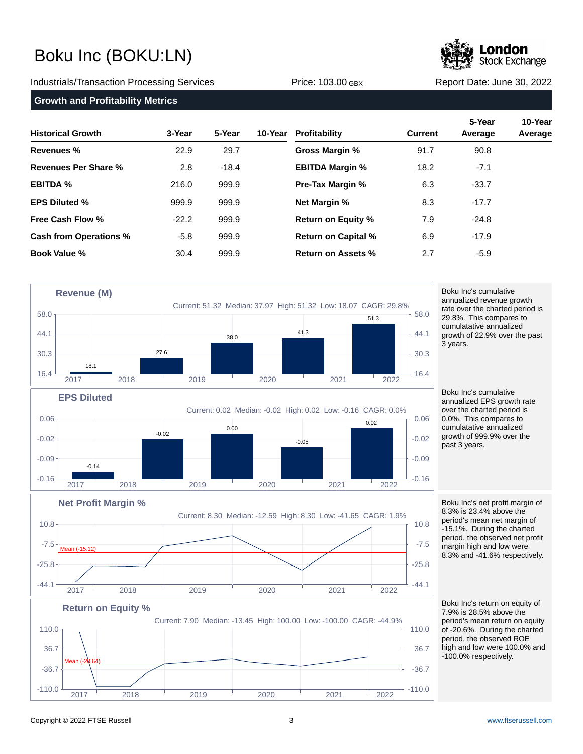# **Stock Exchange**

### Industrials/Transaction Processing Services Price: 103.00 GBX Report Date: June 30, 2022

#### **Growth and Profitability Metrics**

| <b>Historical Growth</b>      | 3-Year  | 5-Year  | 10-Year Profitability      | <b>Current</b> | 5-Year<br>Average | 10-Year<br>Average |
|-------------------------------|---------|---------|----------------------------|----------------|-------------------|--------------------|
| <b>Revenues %</b>             | 22.9    | 29.7    | Gross Margin %             | 91.7           | 90.8              |                    |
| Revenues Per Share %          | 2.8     | $-18.4$ | <b>EBITDA Margin %</b>     | 18.2           | $-7.1$            |                    |
| <b>EBITDA %</b>               | 216.0   | 999.9   | <b>Pre-Tax Margin %</b>    | 6.3            | $-33.7$           |                    |
| <b>EPS Diluted %</b>          | 999.9   | 999.9   | <b>Net Margin %</b>        | 8.3            | $-17.7$           |                    |
| Free Cash Flow %              | $-22.2$ | 999.9   | <b>Return on Equity %</b>  | 7.9            | $-24.8$           |                    |
| <b>Cash from Operations %</b> | $-5.8$  | 999.9   | <b>Return on Capital %</b> | 6.9            | $-17.9$           |                    |
| <b>Book Value %</b>           | 30.4    | 999.9   | <b>Return on Assets %</b>  | 2.7            | $-5.9$            |                    |





Boku Inc's cumulative annualized revenue growth rate over the charted period is 29.8%. This compares to cumulatative annualized growth of 22.9% over the past 3 years.

Boku Inc's cumulative annualized EPS growth rate over the charted period is 0.0%. This compares to cumulatative annualized growth of 999.9% over the past 3 years.

Boku Inc's net profit margin of 8.3% is 23.4% above the period's mean net margin of -15.1%. During the charted period, the observed net profit margin high and low were 8.3% and -41.6% respectively.

Boku Inc's return on equity of 7.9% is 28.5% above the period's mean return on equity of -20.6%. During the charted period, the observed ROE high and low were 100.0% and -100.0% respectively.



 $-7.5$   $+2.5$   $+2.5$ 

Mean (-15.12)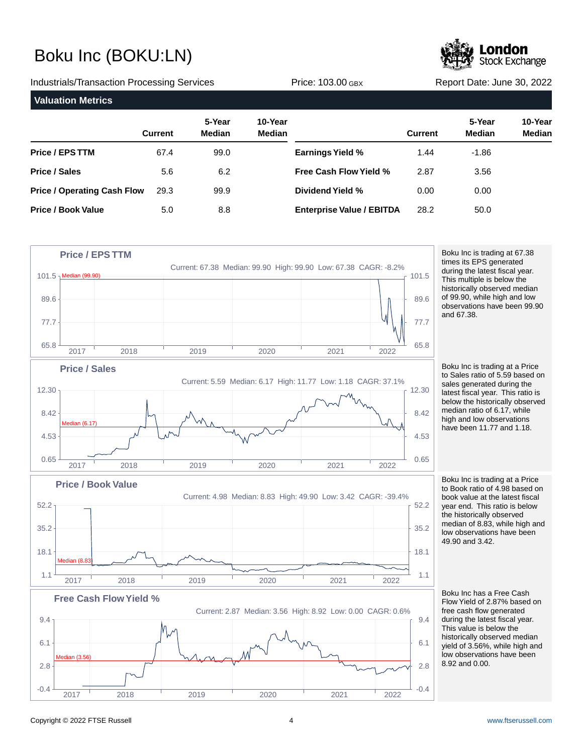**Stock Exchange** 

Industrials/Transaction Processing Services **Price: 103.00 GBX** Report Date: June 30, 2022 **Valuation Metrics 5-Year 10-Year Current Median Median Price / EPS TTM Price / Sales Price / Operating Cash Flow Price / Book Value 5-Year 10-Year Current Median Median Earnings Yield % Free Cash Flow Yield % Dividend Yield % Enterprise Value / EBITDA** 67.4 5.6 29.3 5.0 99.0 6.2 99.9 8.8 1.44 2.87 0.00 28.2 -1.86 3.56 0.00 50.0



Boku Inc is trading at 67.38 times its EPS generated during the latest fiscal year. This multiple is below the historically observed median of 99.90, while high and low observations have been 99.90 and 67.38.

Boku Inc is trading at a Price to Sales ratio of 5.59 based on sales generated during the latest fiscal year. This ratio is below the historically observed median ratio of 6.17, while high and low observations have been 11.77 and 1.18.

Boku Inc is trading at a Price to Book ratio of 4.98 based on book value at the latest fiscal year end. This ratio is below the historically observed median of 8.83, while high and low observations have been 49.90 and 3.42.

Boku Inc has a Free Cash Flow Yield of 2.87% based on free cash flow generated during the latest fiscal year. This value is below the historically observed median yield of 3.56%, while high and low observations have been 8.92 and 0.00.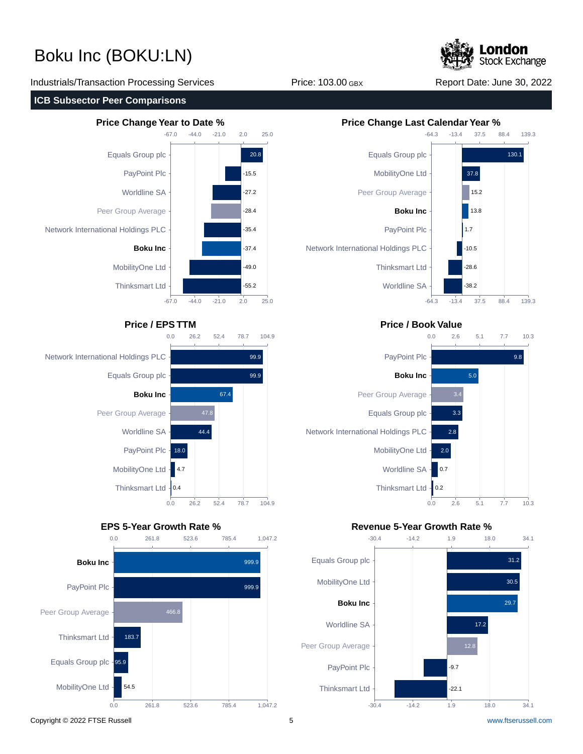Stock Exchange

Industrials/Transaction Processing Services **Price: 103.00 GBX** Report Date: June 30, 2022

#### **ICB Subsector Peer Comparisons**











### **Price / EPS TTM Price / Book Value**



### **EPS 5-Year Growth Rate % Revenue 5-Year Growth Rate %**



Copyright © 2022 FTSE Russell 5 [www.ftserussell.com](http://www.ftserussell.com)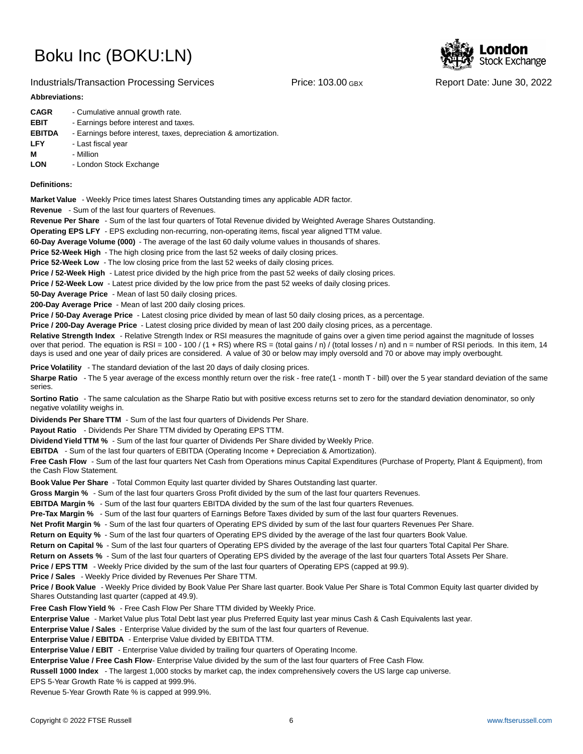

#### Industrials/Transaction Processing Services **Price: 103.00 GBX** Report Date: June 30, 2022

#### **Abbreviations:**

| <b>CAGR</b>   | - Cumulative annual growth rate.                                |
|---------------|-----------------------------------------------------------------|
| <b>EBIT</b>   | - Earnings before interest and taxes.                           |
| <b>EBITDA</b> | - Earnings before interest, taxes, depreciation & amortization. |
| <b>LFY</b>    | - Last fiscal year                                              |
| м             | - Million                                                       |
| <b>LON</b>    | - London Stock Exchange                                         |
|               |                                                                 |

#### **Definitions:**

**Market Value** - Weekly Price times latest Shares Outstanding times any applicable ADR factor.

**Revenue** - Sum of the last four quarters of Revenues.

**Revenue Per Share** - Sum of the last four quarters of Total Revenue divided by Weighted Average Shares Outstanding.

**Operating EPS LFY** - EPS excluding non-recurring, non-operating items, fiscal year aligned TTM value.

60-Day Average Volume (000) - The average of the last 60 daily volume values in thousands of shares.

**Price 52-Week High** - The high closing price from the last 52 weeks of daily closing prices.

**Price 52-Week Low** - The low closing price from the last 52 weeks of daily closing prices.

**Price / 52-Week High** - Latest price divided by the high price from the past 52 weeks of daily closing prices.

**Price / 52-Week Low** - Latest price divided by the low price from the past 52 weeks of daily closing prices.

**50-Day Average Price** - Mean of last 50 daily closing prices.

**200-Day Average Price** - Mean of last 200 daily closing prices.

Price / 50-Day Average Price - Latest closing price divided by mean of last 50 daily closing prices, as a percentage.

**Price / 200-Day Average Price** - Latest closing price divided by mean of last 200 daily closing prices, as a percentage.

Relative Strength Index - Relative Strength Index or RSI measures the magnitude of gains over a given time period against the magnitude of losses over that period. The equation is RSI = 100 - 100 / (1 + RS) where RS = (total gains / n) / (total losses / n) and n = number of RSI periods. In this item, 14 days is used and one year of daily prices are considered. A value of 30 or below may imply oversold and 70 or above may imply overbought.

**Price Volatility** - The standard deviation of the last 20 days of daily closing prices.

Sharpe Ratio - The 5 year average of the excess monthly return over the risk - free rate(1 - month T - bill) over the 5 year standard deviation of the same series.

**Sortino Ratio** - The same calculation as the Sharpe Ratio but with positive excess returns set to zero for the standard deviation denominator, so only negative volatility weighs in.

**Dividends Per Share TTM** - Sum of the last four quarters of Dividends Per Share.

Payout Ratio - Dividends Per Share TTM divided by Operating EPS TTM.

**Dividend Yield TTM %** - Sum of the last four quarter of Dividends Per Share divided by Weekly Price.

**EBITDA** - Sum of the last four quarters of EBITDA (Operating Income + Depreciation & Amortization).

**Free Cash Flow** - Sum of the last four quarters Net Cash from Operations minus Capital Expenditures (Purchase of Property, Plant & Equipment), from the Cash Flow Statement.

**Book Value Per Share** - Total Common Equity last quarter divided by Shares Outstanding last quarter.

**Gross Margin %** - Sum of the last four quarters Gross Profit divided by the sum of the last four quarters Revenues.

**EBITDA Margin %** - Sum of the last four quarters EBITDA divided by the sum of the last four quarters Revenues.

**Pre-Tax Margin %** - Sum of the last four quarters of Earnings Before Taxes divided by sum of the last four quarters Revenues.

**Net Profit Margin %** - Sum of the last four quarters of Operating EPS divided by sum of the last four quarters Revenues Per Share.

**Return on Equity %** - Sum of the last four quarters of Operating EPS divided by the average of the last four quarters Book Value.

**Return on Capital %** - Sum of the last four quarters of Operating EPS divided by the average of the last four quarters Total Capital Per Share.

**Return on Assets %** - Sum of the last four quarters of Operating EPS divided by the average of the last four quarters Total Assets Per Share.

**Price / EPS TTM** - Weekly Price divided by the sum of the last four quarters of Operating EPS (capped at 99.9).

**Price / Sales** - Weekly Price divided by Revenues Per Share TTM.

**Price / Book Value** - Weekly Price divided by Book Value Per Share last quarter. Book Value Per Share is Total Common Equity last quarter divided by Shares Outstanding last quarter (capped at 49.9).

**Free Cash Flow Yield %** - Free Cash Flow Per Share TTM divided by Weekly Price.

Enterprise Value - Market Value plus Total Debt last year plus Preferred Equity last year minus Cash & Cash Equivalents last year.

**Enterprise Value / Sales** - Enterprise Value divided by the sum of the last four quarters of Revenue.

**Enterprise Value / EBITDA** - Enterprise Value divided by EBITDA TTM.

**Enterprise Value / EBIT** - Enterprise Value divided by trailing four quarters of Operating Income.

Enterprise Value / Free Cash Flow- Enterprise Value divided by the sum of the last four quarters of Free Cash Flow.

**Russell 1000 Index** - The largest 1,000 stocks by market cap, the index comprehensively covers the US large cap universe.

EPS 5-Year Growth Rate % is capped at 999.9%.

Revenue 5-Year Growth Rate % is capped at 999.9%.